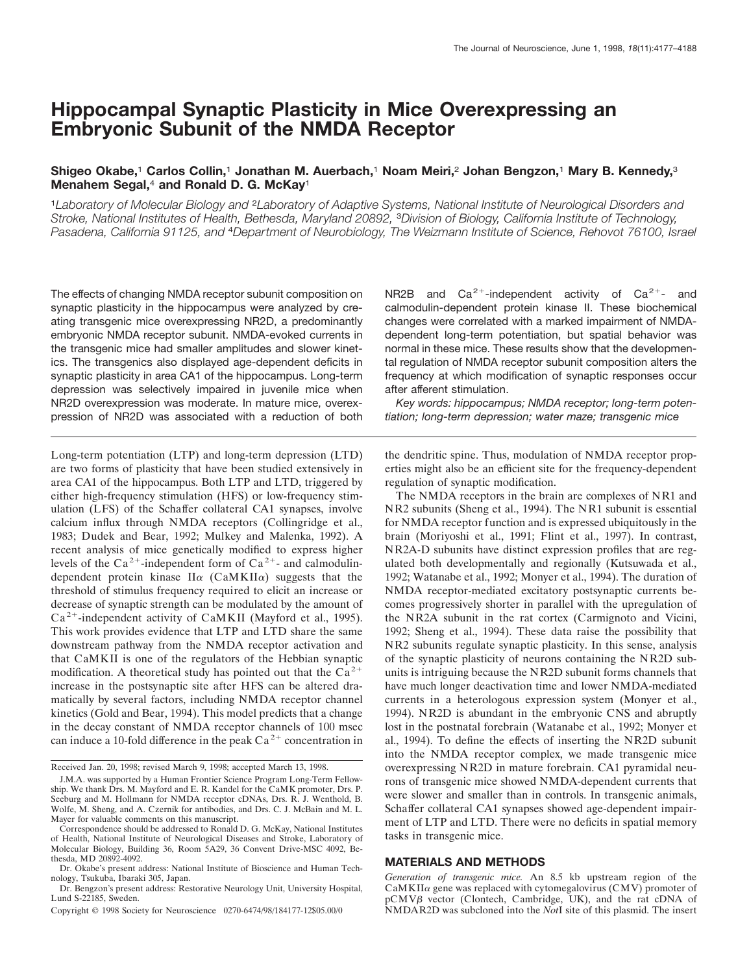# **Hippocampal Synaptic Plasticity in Mice Overexpressing an Embryonic Subunit of the NMDA Receptor**

# **Shigeo Okabe,**<sup>1</sup> **Carlos Collin,**<sup>1</sup> **Jonathan M. Auerbach,**<sup>1</sup> **Noam Meiri,**<sup>2</sup> **Johan Bengzon,**<sup>1</sup> **Mary B. Kennedy,**<sup>3</sup> **Menahem Segal,**<sup>4</sup> **and Ronald D. G. McKay**<sup>1</sup>

<sup>1</sup>*Laboratory of Molecular Biology and* <sup>2</sup>*Laboratory of Adaptive Systems, National Institute of Neurological Disorders and Stroke, National Institutes of Health, Bethesda, Maryland 20892,* <sup>3</sup>*Division of Biology, California Institute of Technology, Pasadena, California 91125, and* <sup>4</sup>*Department of Neurobiology, The Weizmann Institute of Science, Rehovot 76100, Israel*

The effects of changing NMDA receptor subunit composition on synaptic plasticity in the hippocampus were analyzed by creating transgenic mice overexpressing NR2D, a predominantly embryonic NMDA receptor subunit. NMDA-evoked currents in the transgenic mice had smaller amplitudes and slower kinetics. The transgenics also displayed age-dependent deficits in synaptic plasticity in area CA1 of the hippocampus. Long-term depression was selectively impaired in juvenile mice when NR2D overexpression was moderate. In mature mice, overexpression of NR2D was associated with a reduction of both

Long-term potentiation (LTP) and long-term depression (LTD) are two forms of plasticity that have been studied extensively in area CA1 of the hippocampus. Both LTP and LTD, triggered by either high-frequency stimulation (HFS) or low-frequency stimulation (LFS) of the Schaffer collateral CA1 synapses, involve calcium influx through NMDA receptors (Collingridge et al., 1983; Dudek and Bear, 1992; Mulkey and Malenka, 1992). A recent analysis of mice genetically modified to express higher levels of the Ca<sup>2+</sup>-independent form of Ca<sup>2+</sup>- and calmodulindependent protein kinase  $II\alpha$  (CaMKII $\alpha$ ) suggests that the threshold of stimulus frequency required to elicit an increase or decrease of synaptic strength can be modulated by the amount of  $Ca^{2+}$ -independent activity of CaMKII (Mayford et al., 1995). This work provides evidence that LTP and LTD share the same downstream pathway from the NMDA receptor activation and that CaMKII is one of the regulators of the Hebbian synaptic modification. A theoretical study has pointed out that the  $Ca^{2+}$ increase in the postsynaptic site after HFS can be altered dramatically by several factors, including NMDA receptor channel kinetics (Gold and Bear, 1994). This model predicts that a change in the decay constant of NMDA receptor channels of 100 msec can induce a 10-fold difference in the peak  $Ca^{2+}$  concentration in

Received Jan. 20, 1998; revised March 9, 1998; accepted March 13, 1998.

NR2B and  $Ca^{2+}$ -independent activity of  $Ca^{2+}$ - and calmodulin-dependent protein kinase II. These biochemical changes were correlated with a marked impairment of NMDAdependent long-term potentiation, but spatial behavior was normal in these mice. These results show that the developmental regulation of NMDA receptor subunit composition alters the frequency at which modification of synaptic responses occur after afferent stimulation.

*Key words: hippocampus; NMDA receptor; long-term potentiation; long-term depression; water maze; transgenic mice*

the dendritic spine. Thus, modulation of NMDA receptor properties might also be an efficient site for the frequency-dependent regulation of synaptic modification.

The NMDA receptors in the brain are complexes of NR1 and NR2 subunits (Sheng et al., 1994). The NR1 subunit is essential for NMDA receptor function and is expressed ubiquitously in the brain (Moriyoshi et al., 1991; Flint et al., 1997). In contrast, NR2A-D subunits have distinct expression profiles that are regulated both developmentally and regionally (Kutsuwada et al., 1992; Watanabe et al., 1992; Monyer et al., 1994). The duration of NMDA receptor-mediated excitatory postsynaptic currents becomes progressively shorter in parallel with the upregulation of the NR2A subunit in the rat cortex (Carmignoto and Vicini, 1992; Sheng et al., 1994). These data raise the possibility that NR2 subunits regulate synaptic plasticity. In this sense, analysis of the synaptic plasticity of neurons containing the NR2D subunits is intriguing because the NR2D subunit forms channels that have much longer deactivation time and lower NMDA-mediated currents in a heterologous expression system (Monyer et al., 1994). NR2D is abundant in the embryonic CNS and abruptly lost in the postnatal forebrain (Watanabe et al., 1992; Monyer et al., 1994). To define the effects of inserting the NR2D subunit into the NMDA receptor complex, we made transgenic mice overexpressing NR2D in mature forebrain. CA1 pyramidal neurons of transgenic mice showed NMDA-dependent currents that were slower and smaller than in controls. In transgenic animals, Schaffer collateral CA1 synapses showed age-dependent impairment of LTP and LTD. There were no deficits in spatial memory tasks in transgenic mice.

# **MATERIALS AND METHODS**

*Generation of transgenic mice.* An 8.5 kb upstream region of the  $CaMKII\alpha$  gene was replaced with cytomegalovirus  $(CMV)$  promoter of pCMVß vector (Clontech, Cambridge, UK), and the rat cDNA of NMDAR2D was subcloned into the *Not*I site of this plasmid. The insert

J.M.A. was supported by a Human Frontier Science Program Long-Term Fellowship. We thank Drs. M. Mayford and E. R. Kandel for the CaMK promoter, Drs. P. Seeburg and M. Hollmann for NMDA receptor cDNAs, Drs. R. J. Wenthold, B. Wolfe, M. Sheng, and A. Czernik for antibodies, and Drs. C. J. McBain and M. L. Mayer for valuable comments on this manuscript.

Correspondence should be addressed to Ronald D. G. McKay, National Institutes of Health, National Institute of Neurological Diseases and Stroke, Laboratory of Molecular Biology, Building 36, Room 5A29, 36 Convent Drive-MSC 4092, Bethesda, MD 20892-4092.

Dr. Okabe's present address: National Institute of Bioscience and Human Technology, Tsukuba, Ibaraki 305, Japan.

Dr. Bengzon's present address: Restorative Neurology Unit, University Hospital, Lund S-22185, Sweden.

Copyright © 1998 Society for Neuroscience 0270-6474/98/184177-12\$05.00/0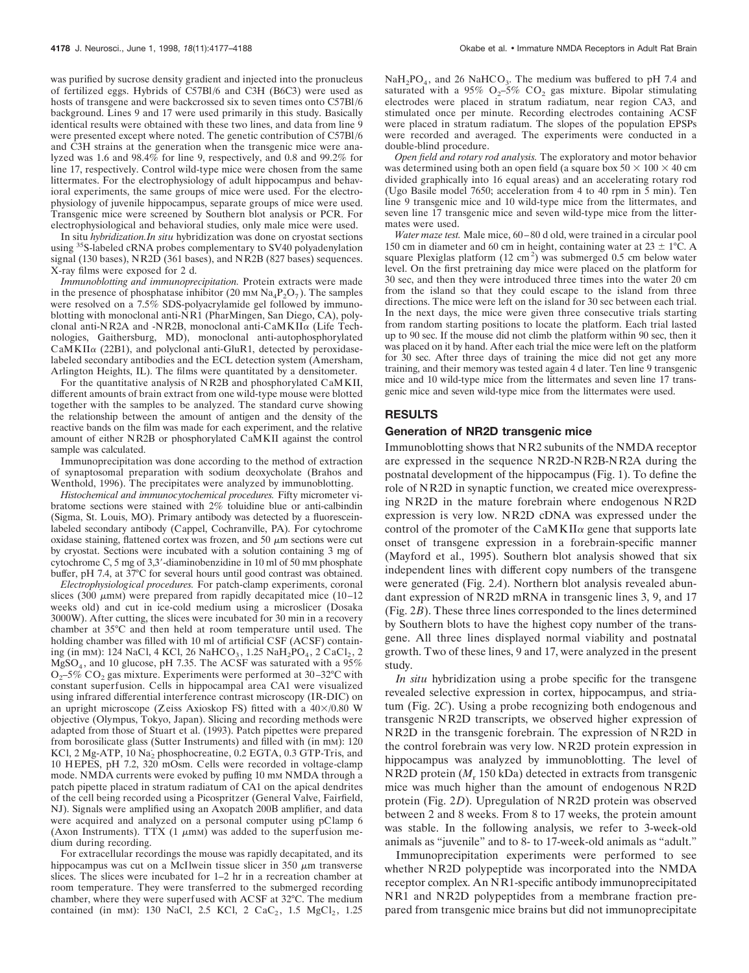was purified by sucrose density gradient and injected into the pronucleus of fertilized eggs. Hybrids of C57Bl/6 and C3H (B6C3) were used as hosts of transgene and were backcrossed six to seven times onto C57Bl/6 background. Lines 9 and 17 were used primarily in this study. Basically identical results were obtained with these two lines, and data from line 9 were presented except where noted. The genetic contribution of C57Bl/6 and C3H strains at the generation when the transgenic mice were analyzed was 1.6 and 98.4% for line 9, respectively, and 0.8 and 99.2% for line 17, respectively. Control wild-type mice were chosen from the same littermates. For the electrophysiology of adult hippocampus and behavioral experiments, the same groups of mice were used. For the electrophysiology of juvenile hippocampus, separate groups of mice were used. Transgenic mice were screened by Southern blot analysis or PCR. For electrophysiological and behavioral studies, only male mice were used.

In situ *hybridization.In situ* hybridization was done on cryostat sections using 35S-labeled cRNA probes complementary to SV40 polyadenylation signal (130 bases), NR2D (361 bases), and NR2B (827 bases) sequences. X-ray films were exposed for 2 d.

*Immunoblotting and immunoprecipitation.* Protein extracts were made in the presence of phosphatase inhibitor (20 mm  $\text{Na}_4\text{P}_2\text{O}_7$ ). The samples were resolved on a 7.5% SDS-polyacrylamide gel followed by immunoblotting with monoclonal anti-NR1 (PharMingen, San Diego, CA), polyclonal anti-NR2A and -NR2B, monoclonal anti-CaMKII<sup>a</sup> (Life Technologies, Gaithersburg, MD), monoclonal anti-autophosphorylated  $CaMKII\alpha$  (22B1), and polyclonal anti-GluR1, detected by peroxidaselabeled secondary antibodies and the ECL detection system (Amersham, Arlington Heights, IL). The films were quantitated by a densitometer.

For the quantitative analysis of NR2B and phosphorylated CaMKII, different amounts of brain extract from one wild-type mouse were blotted together with the samples to be analyzed. The standard curve showing the relationship between the amount of antigen and the density of the reactive bands on the film was made for each experiment, and the relative amount of either NR2B or phosphorylated CaMKII against the control sample was calculated.

Immunoprecipitation was done according to the method of extraction of synaptosomal preparation with sodium deoxycholate (Brahos and Wenthold, 1996). The precipitates were analyzed by immunoblotting.

*Histochemical and immunocytochemical procedures.* Fifty micrometer vibratome sections were stained with 2% toluidine blue or anti-calbindin (Sigma, St. Louis, MO). Primary antibody was detected by a fluoresceinlabeled secondary antibody (Cappel, Cochranville, PA). For cytochrome oxidase staining, flattened cortex was frozen, and 50  $\mu$ m sections were cut by cryostat. Sections were incubated with a solution containing 3 mg of cytochrome C, 5 mg of 3,3'-diaminobenzidine in 10 ml of 50 mm phosphate buffer, pH 7.4, at 37°C for several hours until good contrast was obtained.

*Electrophysiological procedures.* For patch-clamp experiments, coronal slices (300  $\mu$ mM) were prepared from rapidly decapitated mice (10–12 weeks old) and cut in ice-cold medium using a microslicer (Dosaka 3000W). After cutting, the slices were incubated for 30 min in a recovery chamber at 35°C and then held at room temperature until used. The holding chamber was filled with 10 ml of artificial CSF (ACSF) containing (in mm): 124 NaCl, 4 KCl, 26 NaHCO<sub>3</sub>, 1.25 NaH<sub>2</sub>PO<sub>4</sub>, 2 CaCl<sub>2</sub>, 2  $MgSO<sub>4</sub>$ , and 10 glucose, pH 7.35. The ACSF was saturated with a 95%  $O_2$ –5% CO<sub>2</sub> gas mixture. Experiments were performed at 30–32°C with constant superfusion. Cells in hippocampal area CA1 were visualized using infrared differential interference contrast microscopy (IR-DIC) on an upright microscope (Zeiss Axioskop FS) fitted with a  $40\times/0.80$  W objective (Olympus, Tokyo, Japan). Slicing and recording methods were adapted from those of Stuart et al. (1993). Patch pipettes were prepared from borosilicate glass (Sutter Instruments) and filled with (in mM): 120 KCl, 2 Mg-ATP,  $10 \text{ Na}_2$  phosphocreatine, 0.2 EGTA, 0.3 GTP-Tris, and 10 HEPES, pH 7.2, 320 mOsm. Cells were recorded in voltage-clamp mode. NMDA currents were evoked by puffing 10 mm NMDA through a patch pipette placed in stratum radiatum of CA1 on the apical dendrites of the cell being recorded using a Picospritzer (General Valve, Fairfield, NJ). Signals were amplified using an Axopatch 200B amplifier, and data were acquired and analyzed on a personal computer using pClamp 6 (Axon Instruments). TTX  $(1 \mu m)$  was added to the superfusion medium during recording.

For extracellular recordings the mouse was rapidly decapitated, and its hippocampus was cut on a McIlwein tissue slicer in 350  $\mu$ m transverse slices. The slices were incubated for 1–2 hr in a recreation chamber at room temperature. They were transferred to the submerged recording chamber, where they were superfused with ACSF at 32°C. The medium contained (in mm): 130 NaCl, 2.5 KCl, 2 CaC<sub>2</sub>, 1.5 MgCl<sub>2</sub>, 1.25

 $NaH<sub>2</sub>PO<sub>4</sub>$ , and 26 NaHCO<sub>3</sub>. The medium was buffered to pH 7.4 and saturated with a 95%  $O<sub>2</sub>$ –5% CO<sub>2</sub> gas mixture. Bipolar stimulating electrodes were placed in stratum radiatum, near region CA3, and stimulated once per minute. Recording electrodes containing ACSF were placed in stratum radiatum. The slopes of the population EPSPs were recorded and averaged. The experiments were conducted in a double-blind procedure.

*Open field and rotary rod analysis.* The exploratory and motor behavior was determined using both an open field (a square box  $50 \times 100 \times 40$  cm divided graphically into 16 equal areas) and an accelerating rotary rod (Ugo Basile model 7650; acceleration from 4 to 40 rpm in 5 min). Ten line 9 transgenic mice and 10 wild-type mice from the littermates, and seven line 17 transgenic mice and seven wild-type mice from the littermates were used.

*Water maze test.* Male mice, 60–80 d old, were trained in a circular pool 150 cm in diameter and 60 cm in height, containing water at  $23 \pm 1$ °C. A square Plexiglas platform  $(12 \text{ cm}^2)$  was submerged 0.5 cm below water level. On the first pretraining day mice were placed on the platform for 30 sec, and then they were introduced three times into the water 20 cm from the island so that they could escape to the island from three directions. The mice were left on the island for 30 sec between each trial. In the next days, the mice were given three consecutive trials starting from random starting positions to locate the platform. Each trial lasted up to 90 sec. If the mouse did not climb the platform within 90 sec, then it was placed on it by hand. After each trial the mice were left on the platform for 30 sec. After three days of training the mice did not get any more training, and their memory was tested again 4 d later. Ten line 9 transgenic mice and 10 wild-type mice from the littermates and seven line 17 transgenic mice and seven wild-type mice from the littermates were used.

# **RESULTS**

#### **Generation of NR2D transgenic mice**

Immunoblotting shows that NR2 subunits of the NMDA receptor are expressed in the sequence NR2D-NR2B-NR2A during the postnatal development of the hippocampus (Fig. 1). To define the role of NR2D in synaptic function, we created mice overexpressing NR2D in the mature forebrain where endogenous NR2D expression is very low. NR2D cDNA was expressed under the control of the promoter of the  $CaMKII\alpha$  gene that supports late onset of transgene expression in a forebrain-specific manner (Mayford et al., 1995). Southern blot analysis showed that six independent lines with different copy numbers of the transgene were generated (Fig. 2*A*). Northern blot analysis revealed abundant expression of NR2D mRNA in transgenic lines 3, 9, and 17 (Fig. 2*B*). These three lines corresponded to the lines determined by Southern blots to have the highest copy number of the transgene. All three lines displayed normal viability and postnatal growth. Two of these lines, 9 and 17, were analyzed in the present study.

*In situ* hybridization using a probe specific for the transgene revealed selective expression in cortex, hippocampus, and striatum (Fig. 2*C*). Using a probe recognizing both endogenous and transgenic NR2D transcripts, we observed higher expression of NR2D in the transgenic forebrain. The expression of NR2D in the control forebrain was very low. NR2D protein expression in hippocampus was analyzed by immunoblotting. The level of NR2D protein  $(M_r 150 \text{ kDa})$  detected in extracts from transgenic mice was much higher than the amount of endogenous NR2D protein (Fig. 2*D*). Upregulation of NR2D protein was observed between 2 and 8 weeks. From 8 to 17 weeks, the protein amount was stable. In the following analysis, we refer to 3-week-old animals as "juvenile" and to 8- to 17-week-old animals as "adult."

Immunoprecipitation experiments were performed to see whether NR2D polypeptide was incorporated into the NMDA receptor complex. An NR1-specific antibody immunoprecipitated NR1 and NR2D polypeptides from a membrane fraction prepared from transgenic mice brains but did not immunoprecipitate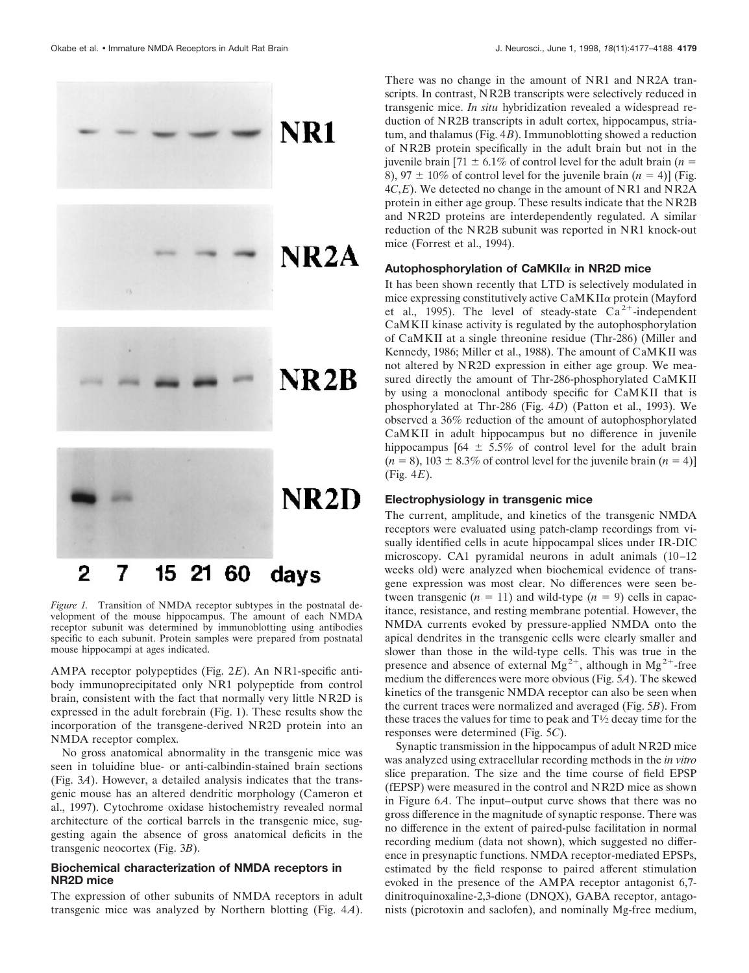

#### 2 15 21 60 7 davs

*Figure 1.* Transition of NMDA receptor subtypes in the postnatal development of the mouse hippocampus. The amount of each NMDA receptor subunit was determined by immunoblotting using antibodies specific to each subunit. Protein samples were prepared from postnatal mouse hippocampi at ages indicated.

AMPA receptor polypeptides (Fig. 2*E*). An NR1-specific antibody immunoprecipitated only NR1 polypeptide from control brain, consistent with the fact that normally very little NR2D is expressed in the adult forebrain (Fig. 1). These results show the incorporation of the transgene-derived NR2D protein into an NMDA receptor complex.

No gross anatomical abnormality in the transgenic mice was seen in toluidine blue- or anti-calbindin-stained brain sections (Fig. 3*A*). However, a detailed analysis indicates that the transgenic mouse has an altered dendritic morphology (Cameron et al., 1997). Cytochrome oxidase histochemistry revealed normal architecture of the cortical barrels in the transgenic mice, suggesting again the absence of gross anatomical deficits in the transgenic neocortex (Fig. 3*B*).

### **Biochemical characterization of NMDA receptors in NR2D mice**

The expression of other subunits of NMDA receptors in adult transgenic mice was analyzed by Northern blotting (Fig. 4*A*).

There was no change in the amount of NR1 and NR2A transcripts. In contrast, NR2B transcripts were selectively reduced in transgenic mice. *In situ* hybridization revealed a widespread reduction of NR2B transcripts in adult cortex, hippocampus, striatum, and thalamus (Fig. 4*B*). Immunoblotting showed a reduction of NR2B protein specifically in the adult brain but not in the juvenile brain  $[71 \pm 6.1\%$  of control level for the adult brain (*n* = 8), 97  $\pm$  10% of control level for the juvenile brain  $(n = 4)$ ] (Fig. 4*C*,*E*). We detected no change in the amount of NR1 and NR2A protein in either age group. These results indicate that the NR2B and NR2D proteins are interdependently regulated. A similar reduction of the NR2B subunit was reported in NR1 knock-out mice (Forrest et al., 1994).

#### **Autophosphorylation of CaMKII**<sup>a</sup> **in NR2D mice**

It has been shown recently that LTD is selectively modulated in mice expressing constitutively active  $CaMKII\alpha$  protein (Mayford et al., 1995). The level of steady-state  $Ca^{2+}$ -independent CaMKII kinase activity is regulated by the autophosphorylation of CaMKII at a single threonine residue (Thr-286) (Miller and Kennedy, 1986; Miller et al., 1988). The amount of CaMKII was not altered by NR2D expression in either age group. We measured directly the amount of Thr-286-phosphorylated CaMKII by using a monoclonal antibody specific for CaMKII that is phosphorylated at Thr-286 (Fig. 4*D*) (Patton et al., 1993). We observed a 36% reduction of the amount of autophosphorylated CaMKII in adult hippocampus but no difference in juvenile hippocampus  $[64 \pm 5.5\%$  of control level for the adult brain  $(n = 8)$ , 103  $\pm$  8.3% of control level for the juvenile brain  $(n = 4)$ ] (Fig. 4*E*).

# **Electrophysiology in transgenic mice**

The current, amplitude, and kinetics of the transgenic NMDA receptors were evaluated using patch-clamp recordings from visually identified cells in acute hippocampal slices under IR-DIC microscopy. CA1 pyramidal neurons in adult animals (10–12 weeks old) were analyzed when biochemical evidence of transgene expression was most clear. No differences were seen between transgenic  $(n = 11)$  and wild-type  $(n = 9)$  cells in capacitance, resistance, and resting membrane potential. However, the NMDA currents evoked by pressure-applied NMDA onto the apical dendrites in the transgenic cells were clearly smaller and slower than those in the wild-type cells. This was true in the presence and absence of external  $Mg^{2+}$ , although in  $Mg^{2+}$ -free medium the differences were more obvious (Fig. 5*A*). The skewed kinetics of the transgenic NMDA receptor can also be seen when the current traces were normalized and averaged (Fig. 5*B*). From these traces the values for time to peak and  $T\frac{1}{2}$  decay time for the responses were determined (Fig. 5*C*).

Synaptic transmission in the hippocampus of adult NR2D mice was analyzed using extracellular recording methods in the *in vitro* slice preparation. The size and the time course of field EPSP (fEPSP) were measured in the control and NR2D mice as shown in Figure 6*A*. The input–output curve shows that there was no gross difference in the magnitude of synaptic response. There was no difference in the extent of paired-pulse facilitation in normal recording medium (data not shown), which suggested no difference in presynaptic functions. NMDA receptor-mediated EPSPs, estimated by the field response to paired afferent stimulation evoked in the presence of the AMPA receptor antagonist 6,7 dinitroquinoxaline-2,3-dione (DNQX), GABA receptor, antagonists (picrotoxin and saclofen), and nominally Mg-free medium,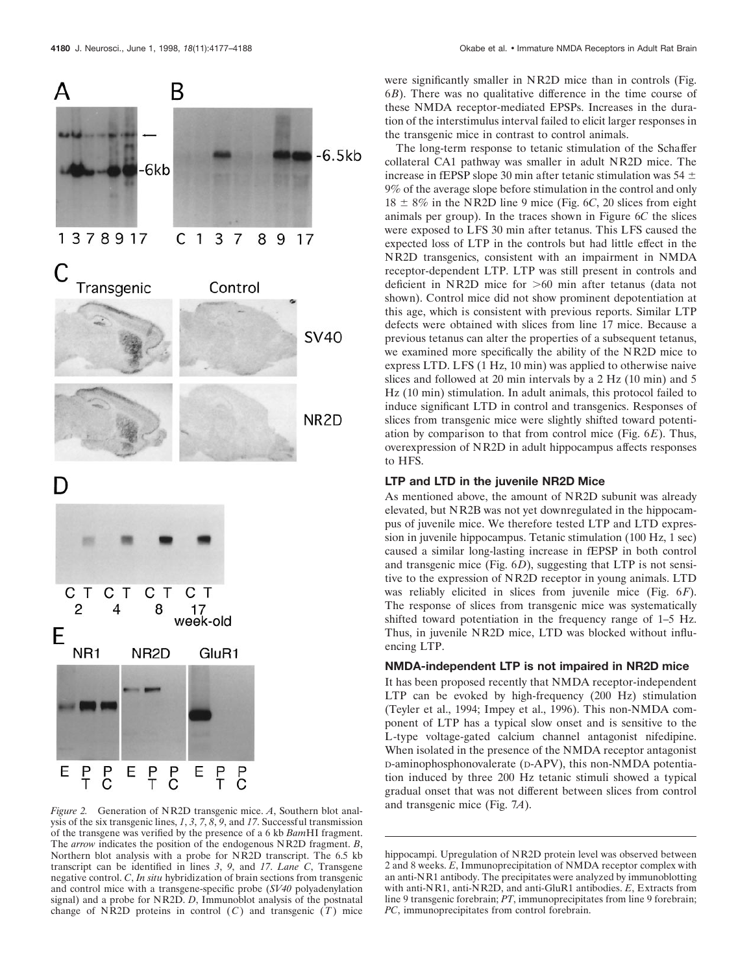

were significantly smaller in NR2D mice than in controls (Fig. 6*B*). There was no qualitative difference in the time course of these NMDA receptor-mediated EPSPs. Increases in the duration of the interstimulus interval failed to elicit larger responses in the transgenic mice in contrast to control animals.

The long-term response to tetanic stimulation of the Schaffer collateral CA1 pathway was smaller in adult NR2D mice. The increase in fEPSP slope 30 min after tetanic stimulation was  $54 \pm$ 9% of the average slope before stimulation in the control and only  $18 \pm 8\%$  in the NR2D line 9 mice (Fig. 6*C*, 20 slices from eight animals per group). In the traces shown in Figure 6*C* the slices were exposed to LFS 30 min after tetanus. This LFS caused the expected loss of LTP in the controls but had little effect in the NR2D transgenics, consistent with an impairment in NMDA receptor-dependent LTP. LTP was still present in controls and deficient in NR2D mice for  $>60$  min after tetanus (data not shown). Control mice did not show prominent depotentiation at this age, which is consistent with previous reports. Similar LTP defects were obtained with slices from line 17 mice. Because a previous tetanus can alter the properties of a subsequent tetanus, we examined more specifically the ability of the NR2D mice to express LTD. LFS (1 Hz, 10 min) was applied to otherwise naive slices and followed at 20 min intervals by a 2 Hz (10 min) and 5 Hz (10 min) stimulation. In adult animals, this protocol failed to induce significant LTD in control and transgenics. Responses of slices from transgenic mice were slightly shifted toward potentiation by comparison to that from control mice (Fig. 6*E*). Thus, overexpression of NR2D in adult hippocampus affects responses to HFS.

# **LTP and LTD in the juvenile NR2D Mice**

As mentioned above, the amount of NR2D subunit was already elevated, but NR2B was not yet downregulated in the hippocampus of juvenile mice. We therefore tested LTP and LTD expression in juvenile hippocampus. Tetanic stimulation (100 Hz, 1 sec) caused a similar long-lasting increase in fEPSP in both control and transgenic mice (Fig. 6*D*), suggesting that LTP is not sensitive to the expression of NR2D receptor in young animals. LTD was reliably elicited in slices from juvenile mice (Fig. 6*F*). The response of slices from transgenic mice was systematically shifted toward potentiation in the frequency range of 1–5 Hz. Thus, in juvenile NR2D mice, LTD was blocked without influencing LTP.

# **NMDA-independent LTP is not impaired in NR2D mice**

It has been proposed recently that NMDA receptor-independent LTP can be evoked by high-frequency (200 Hz) stimulation (Teyler et al., 1994; Impey et al., 1996). This non-NMDA component of LTP has a typical slow onset and is sensitive to the L-type voltage-gated calcium channel antagonist nifedipine. When isolated in the presence of the NMDA receptor antagonist D-aminophosphonovalerate (D-APV), this non-NMDA potentiation induced by three 200 Hz tetanic stimuli showed a typical gradual onset that was not different between slices from control

and transgenic mice (Fig. 7*A*). *Figure 2.* Generation of NR2D transgenic mice. *<sup>A</sup>*, Southern blot analysis of the six transgenic lines, *1*, *3*, *7*, *8*, *9*, and *17*. Successful transmission of the transgene was verified by the presence of a 6 kb *Bam*HI fragment. The *arrow* indicates the position of the endogenous NR2D fragment. *B*, Northern blot analysis with a probe for NR2D transcript. The 6.5 kb transcript can be identified in lines *3*, *9*, and *17*. *Lane C*, Transgene negative control. *C*, *In situ* hybridization of brain sections from transgenic and control mice with a transgene-specific probe (*SV40* polyadenylation signal) and a probe for NR2D. *D*, Immunoblot analysis of the postnatal change of NR2D proteins in control  $(C)$  and transgenic  $(T)$  mice

hippocampi. Upregulation of NR2D protein level was observed between 2 and 8 weeks. *E*, Immunoprecipitation of NMDA receptor complex with an anti-NR1 antibody. The precipitates were analyzed by immunoblotting with anti-NR1, anti-NR2D, and anti-GluR1 antibodies. *E*, Extracts from line 9 transgenic forebrain; *PT*, immunoprecipitates from line 9 forebrain; *PC*, immunoprecipitates from control forebrain.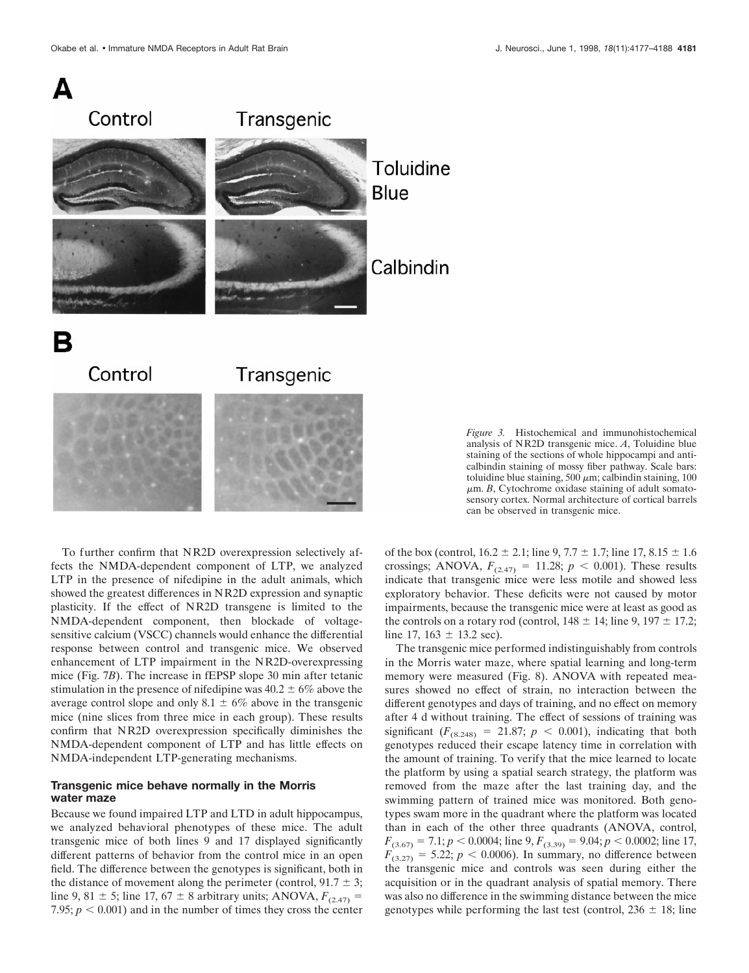



*Figure 3.* Histochemical and immunohistochemical analysis of NR2D transgenic mice. *A*, Toluidine blue staining of the sections of whole hippocampi and anticalbindin staining of mossy fiber pathway. Scale bars: toluidine blue staining, 500  $\mu$ m; calbindin staining, 100  $\mu$ m. *B*, Cytochrome oxidase staining of adult somatosensory cortex. Normal architecture of cortical barrels can be observed in transgenic mice.

To further confirm that NR2D overexpression selectively affects the NMDA-dependent component of LTP, we analyzed LTP in the presence of nifedipine in the adult animals, which showed the greatest differences in NR2D expression and synaptic plasticity. If the effect of NR2D transgene is limited to the NMDA-dependent component, then blockade of voltagesensitive calcium (VSCC) channels would enhance the differential response between control and transgenic mice. We observed enhancement of LTP impairment in the NR2D-overexpressing mice (Fig. 7*B*). The increase in fEPSP slope 30 min after tetanic stimulation in the presence of nifedipine was  $40.2 \pm 6\%$  above the average control slope and only  $8.1 \pm 6\%$  above in the transgenic mice (nine slices from three mice in each group). These results confirm that NR2D overexpression specifically diminishes the NMDA-dependent component of LTP and has little effects on NMDA-independent LTP-generating mechanisms.

#### **Transgenic mice behave normally in the Morris water maze**

Because we found impaired LTP and LTD in adult hippocampus, we analyzed behavioral phenotypes of these mice. The adult transgenic mice of both lines 9 and 17 displayed significantly different patterns of behavior from the control mice in an open field. The difference between the genotypes is significant, both in the distance of movement along the perimeter (control,  $91.7 \pm 3$ ; line 9, 81  $\pm$  5; line 17, 67  $\pm$  8 arbitrary units; ANOVA,  $F_{(2.47)}$  = 7.95;  $p < 0.001$ ) and in the number of times they cross the center

of the box (control,  $16.2 \pm 2.1$ ; line 9,  $7.7 \pm 1.7$ ; line  $17, 8.15 \pm 1.6$ crossings; ANOVA,  $F_{(2.47)} = 11.28; p < 0.001$ ). These results indicate that transgenic mice were less motile and showed less exploratory behavior. These deficits were not caused by motor impairments, because the transgenic mice were at least as good as the controls on a rotary rod (control,  $148 \pm 14$ ; line 9,  $197 \pm 17.2$ ; line 17,  $163 \pm 13.2$  sec).

The transgenic mice performed indistinguishably from controls in the Morris water maze, where spatial learning and long-term memory were measured (Fig. 8). ANOVA with repeated measures showed no effect of strain, no interaction between the different genotypes and days of training, and no effect on memory after 4 d without training. The effect of sessions of training was significant  $(F_{(8.248)} = 21.87; p < 0.001)$ , indicating that both genotypes reduced their escape latency time in correlation with the amount of training. To verify that the mice learned to locate the platform by using a spatial search strategy, the platform was removed from the maze after the last training day, and the swimming pattern of trained mice was monitored. Both genotypes swam more in the quadrant where the platform was located than in each of the other three quadrants (ANOVA, control,  $F_{(3.67)} = 7.1; p < 0.0004;$  line 9,  $F_{(3.39)} = 9.04; p < 0.0002;$  line 17,  $F_{(3.27)} = 5.22$ ;  $p < 0.0006$ ). In summary, no difference between the transgenic mice and controls was seen during either the acquisition or in the quadrant analysis of spatial memory. There was also no difference in the swimming distance between the mice genotypes while performing the last test (control,  $236 \pm 18$ ; line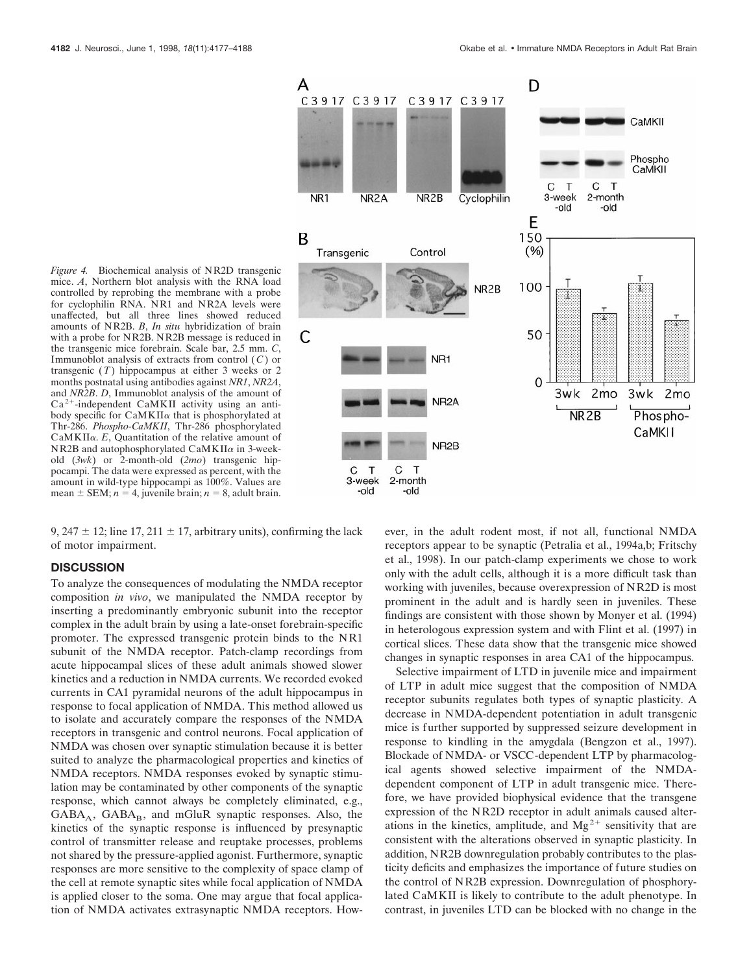

9, 247  $\pm$  12; line 17, 211  $\pm$  17, arbitrary units), confirming the lack of motor impairment.

#### **DISCUSSION**

To analyze the consequences of modulating the NMDA receptor composition *in vivo*, we manipulated the NMDA receptor by inserting a predominantly embryonic subunit into the receptor complex in the adult brain by using a late-onset forebrain-specific promoter. The expressed transgenic protein binds to the NR1 subunit of the NMDA receptor. Patch-clamp recordings from acute hippocampal slices of these adult animals showed slower kinetics and a reduction in NMDA currents. We recorded evoked currents in CA1 pyramidal neurons of the adult hippocampus in response to focal application of NMDA. This method allowed us to isolate and accurately compare the responses of the NMDA receptors in transgenic and control neurons. Focal application of NMDA was chosen over synaptic stimulation because it is better suited to analyze the pharmacological properties and kinetics of NMDA receptors. NMDA responses evoked by synaptic stimulation may be contaminated by other components of the synaptic response, which cannot always be completely eliminated, e.g.,  $GABA_A$ ,  $GABA_B$ , and mGluR synaptic responses. Also, the kinetics of the synaptic response is influenced by presynaptic control of transmitter release and reuptake processes, problems not shared by the pressure-applied agonist. Furthermore, synaptic responses are more sensitive to the complexity of space clamp of the cell at remote synaptic sites while focal application of NMDA is applied closer to the soma. One may argue that focal application of NMDA activates extrasynaptic NMDA receptors. How-



ever, in the adult rodent most, if not all, functional NMDA receptors appear to be synaptic (Petralia et al., 1994a,b; Fritschy et al., 1998). In our patch-clamp experiments we chose to work only with the adult cells, although it is a more difficult task than working with juveniles, because overexpression of NR2D is most prominent in the adult and is hardly seen in juveniles. These findings are consistent with those shown by Monyer et al. (1994) in heterologous expression system and with Flint et al. (1997) in cortical slices. These data show that the transgenic mice showed changes in synaptic responses in area CA1 of the hippocampus.

Selective impairment of LTD in juvenile mice and impairment of LTP in adult mice suggest that the composition of NMDA receptor subunits regulates both types of synaptic plasticity. A decrease in NMDA-dependent potentiation in adult transgenic mice is further supported by suppressed seizure development in response to kindling in the amygdala (Bengzon et al., 1997). Blockade of NMDA- or VSCC-dependent LTP by pharmacological agents showed selective impairment of the NMDAdependent component of LTP in adult transgenic mice. Therefore, we have provided biophysical evidence that the transgene expression of the NR2D receptor in adult animals caused alterations in the kinetics, amplitude, and  $Mg^{2+}$  sensitivity that are consistent with the alterations observed in synaptic plasticity. In addition, NR2B downregulation probably contributes to the plasticity deficits and emphasizes the importance of future studies on the control of NR2B expression. Downregulation of phosphorylated CaMKII is likely to contribute to the adult phenotype. In contrast, in juveniles LTD can be blocked with no change in the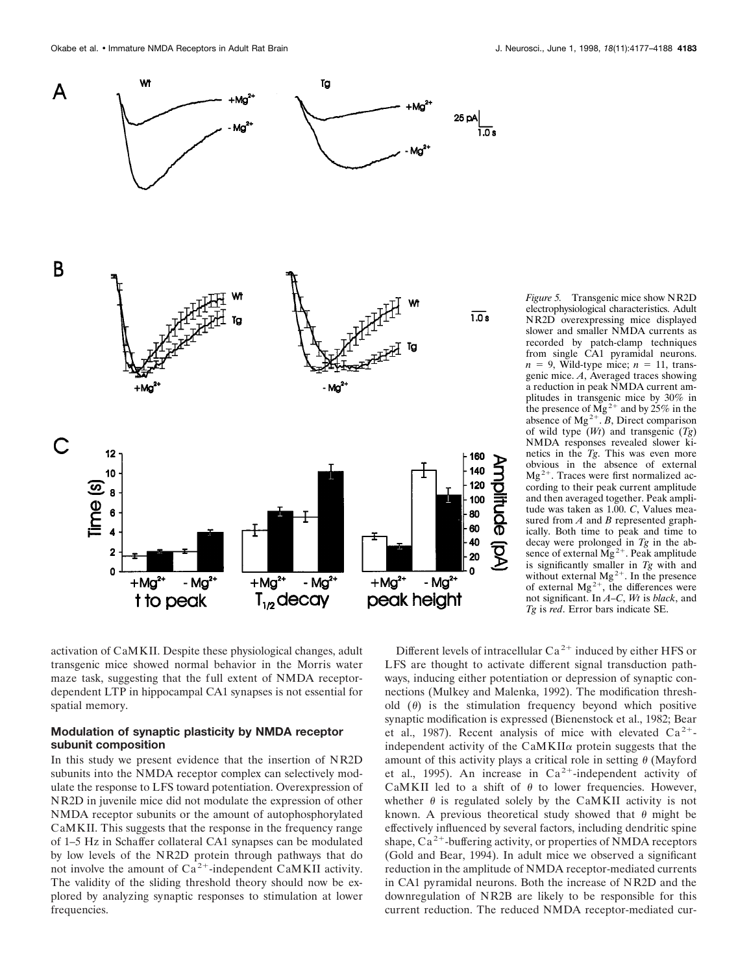

electrophysiological characteristics. Adult NR2D overexpressing mice displayed slower and smaller NMDA currents as recorded by patch-clamp techniques from single CA1 pyramidal neurons.  $n = 9$ , Wild-type mice;  $n = 11$ , transgenic mice. *A*, Averaged traces showing a reduction in peak NMDA current amplitudes in transgenic mice by 30% in the presence of  $\overline{Mg}^{2+}$  and by 25% in the absence of  $Mg^{2+}$ . *B*, Direct comparison of wild type (*Wt*) and transgenic (*Tg*) NMDA responses revealed slower kinetics in the *Tg*. This was even more obvious in the absence of external  $Mg<sup>2+</sup>$ . Traces were first normalized according to their peak current amplitude and then averaged together. Peak amplitude was taken as 1.00. *C*, Values measured from *A* and *B* represented graphically. Both time to peak and time to decay were prolonged in *Tg* in the absence of external  $\overline{Mg}^{2+}$ . Peak amplitude is significantly smaller in  $Tg$  with and without external  $Mg^{2+}$ . In the presence of external  $Mg^{2+}$ , the differences were not significant. In *A–C*, *Wt* is *black*, and *Tg* is *red*. Error bars indicate SE.

activation of CaMKII. Despite these physiological changes, adult transgenic mice showed normal behavior in the Morris water maze task, suggesting that the full extent of NMDA receptordependent LTP in hippocampal CA1 synapses is not essential for spatial memory.

# **Modulation of synaptic plasticity by NMDA receptor subunit composition**

In this study we present evidence that the insertion of NR2D subunits into the NMDA receptor complex can selectively modulate the response to LFS toward potentiation. Overexpression of NR2D in juvenile mice did not modulate the expression of other NMDA receptor subunits or the amount of autophosphorylated CaMKII. This suggests that the response in the frequency range of 1–5 Hz in Schaffer collateral CA1 synapses can be modulated by low levels of the NR2D protein through pathways that do not involve the amount of  $Ca^{2+}$ -independent CaMKII activity. The validity of the sliding threshold theory should now be explored by analyzing synaptic responses to stimulation at lower frequencies.

Different levels of intracellular  $Ca^{2+}$  induced by either HFS or LFS are thought to activate different signal transduction pathways, inducing either potentiation or depression of synaptic connections (Mulkey and Malenka, 1992). The modification threshold  $(\theta)$  is the stimulation frequency beyond which positive synaptic modification is expressed (Bienenstock et al., 1982; Bear et al., 1987). Recent analysis of mice with elevated  $Ca^{2+}$ independent activity of the  $CaMKII\alpha$  protein suggests that the amount of this activity plays a critical role in setting  $\theta$  (Mayford et al., 1995). An increase in  $Ca^{2+}$ -independent activity of CaMKII led to a shift of  $\theta$  to lower frequencies. However, whether  $\theta$  is regulated solely by the CaMKII activity is not known. A previous theoretical study showed that  $\theta$  might be effectively influenced by several factors, including dendritic spine shape,  $Ca^{2+}$ -buffering activity, or properties of NMDA receptors (Gold and Bear, 1994). In adult mice we observed a significant reduction in the amplitude of NMDA receptor-mediated currents in CA1 pyramidal neurons. Both the increase of NR2D and the downregulation of NR2B are likely to be responsible for this current reduction. The reduced NMDA receptor-mediated cur-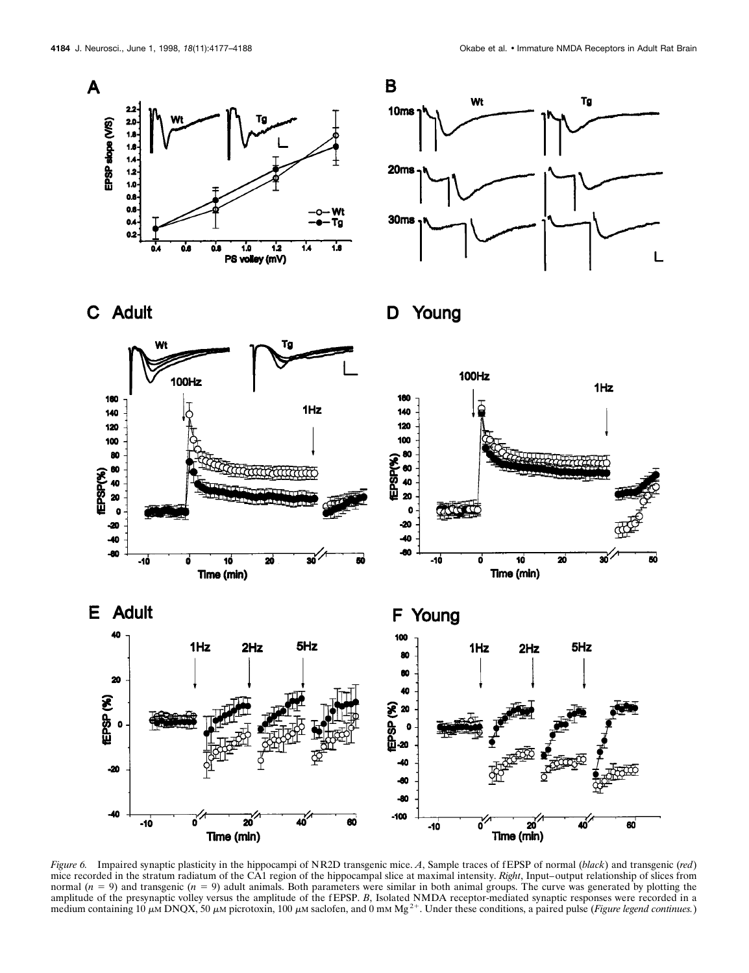





D Young



*Figure 6.* Impaired synaptic plasticity in the hippocampi of NR2D transgenic mice. *A*, Sample traces of f EPSP of normal (*black*) and transgenic (*red*) mice recorded in the stratum radiatum of the CA1 region of the hippocampal slice at maximal intensity. *Right*, Input–output relationship of slices from normal  $(n = 9)$  and transgenic  $(n = 9)$  adult animals. Both parameters were similar in both animal groups. The curve was generated by plotting the amplitude of the presynaptic volley versus the amplitude of the fEPSP. *B*, Isolated NMDA receptor-mediated synaptic responses were recorded in a medium containing 10  $\mu$ M DNQX, 50  $\mu$ M picrotoxin, 100  $\mu$ M saclofen, and 0 mM Mg<sup>2+</sup>. Under these conditions, a paired pulse (*Figure legend continues*.)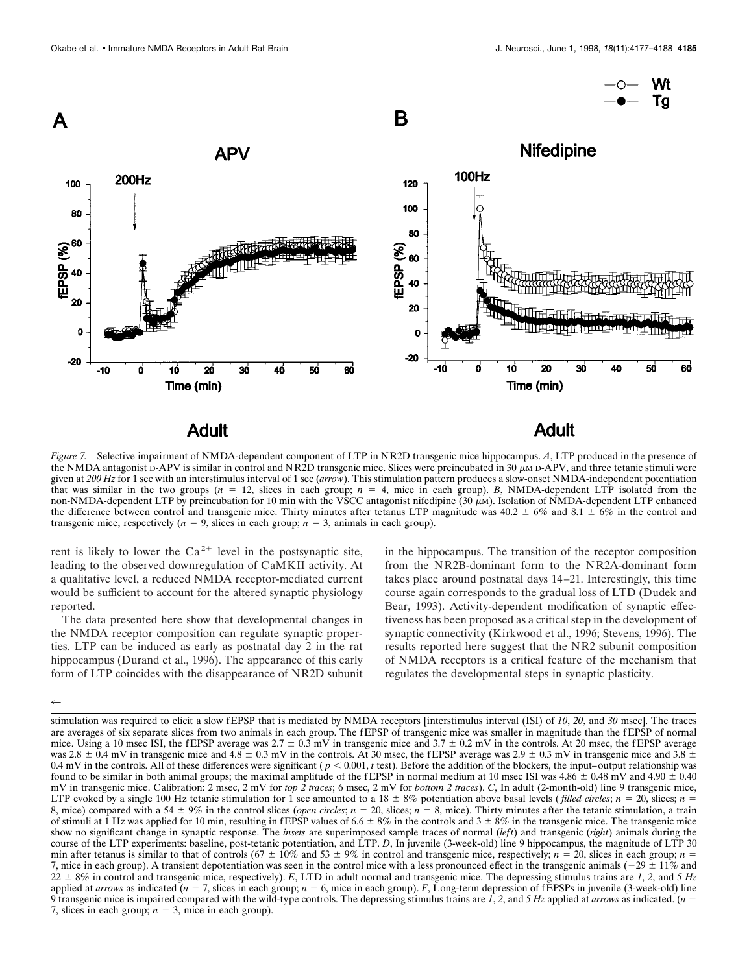

*Figure 7.* Selective impairment of NMDA-dependent component of LTP in NR2D transgenic mice hippocampus. *A*, LTP produced in the presence of the NMDA antagonist D-APV is similar in control and NR2D transgenic mice. Slices were preincubated in 30  $\mu$ M D-APV, and three tetanic stimuli were given at *200 Hz* for 1 sec with an interstimulus interval of 1 sec (*arrow*). This stimulation pattern produces a slow-onset NMDA-independent potentiation that was similar in the two groups  $(n = 12)$ , slices in each group;  $n = 4$ , mice in each group). *B*, NMDA-dependent LTP isolated from the non-NMDA-dependent LTP by preincubation for 10 min with the VSCC antagonist nifedipine (30  $\mu$ M). Isolation of NMDA-dependent LTP enhanced the difference between control and transgenic mice. Thirty minutes after tetanus LTP magnitude was  $40.2 \pm 6\%$  and  $8.1 \pm 6\%$  in the control and transgenic mice, respectively  $(n = 9)$ , slices in each group;  $n = 3$ , animals in each group).

rent is likely to lower the  $Ca^{2+}$  level in the postsynaptic site, leading to the observed downregulation of CaMKII activity. At a qualitative level, a reduced NMDA receptor-mediated current would be sufficient to account for the altered synaptic physiology reported.

The data presented here show that developmental changes in the NMDA receptor composition can regulate synaptic properties. LTP can be induced as early as postnatal day 2 in the rat hippocampus (Durand et al., 1996). The appearance of this early form of LTP coincides with the disappearance of NR2D subunit

in the hippocampus. The transition of the receptor composition from the NR2B-dominant form to the NR2A-dominant form takes place around postnatal days 14–21. Interestingly, this time course again corresponds to the gradual loss of LTD (Dudek and Bear, 1993). Activity-dependent modification of synaptic effectiveness has been proposed as a critical step in the development of synaptic connectivity (Kirkwood et al., 1996; Stevens, 1996). The results reported here suggest that the NR2 subunit composition of NMDA receptors is a critical feature of the mechanism that regulates the developmental steps in synaptic plasticity.

 $\leftarrow$ 

stimulation was required to elicit a slow fEPSP that is mediated by NMDA receptors [interstimulus interval (ISI) of 10, 20, and 30 msec]. The traces are averages of six separate slices from two animals in each group. The fEPSP of transgenic mice was smaller in magnitude than the fEPSP of normal mice. Using a 10 msec ISI, the fEPSP average was  $2.7 \pm 0.3$  mV in transgenic mice and  $3.7 \pm 0.2$  mV in the controls. At 20 msec, the fEPSP average was 2.8  $\pm$  0.4 mV in transgenic mice and 4.8  $\pm$  0.3 mV in the controls. At 30 msec, the fEPSP average was 2.9  $\pm$  0.3 mV in transgenic mice and 3.8  $\pm$ 0.4 mV in the controls. All of these differences were significant ( $p < 0.001$ , *t* test). Before the addition of the blockers, the input–output relationship was found to be similar in both animal groups; the maximal amplitude of the fEPSP in normal medium at 10 msec ISI was  $4.86 \pm 0.48$  mV and  $4.90 \pm 0.40$ mV in transgenic mice. Calibration: 2 msec, 2 mV for *top 2 traces*; 6 msec, 2 mV for *bottom 2 traces*). *C*, In adult (2-month-old) line 9 transgenic mice, LTP evoked by a single 100 Hz tetanic stimulation for 1 sec amounted to a 18  $\pm$  8% potentiation above basal levels (*filled circles*; *n* = 20, slices; *n* = 8, mice) compared with a 54  $\pm$  9% in the control slices (*open circles*;  $n = 20$ , slices;  $n = 8$ , mice). Thirty minutes after the tetanic stimulation, a train of stimuli at 1 Hz was applied for 10 min, resulting in fEPSP values of 6.6  $\pm$  8% in the controls and 3  $\pm$  8% in the transgenic mice. The transgenic mice show no significant change in synaptic response. The *insets* are superimposed sample traces of normal (*left*) and transgenic (*right*) animals during the course of the LTP experiments: baseline, post-tetanic potentiation, and LTP. *D*, In juvenile (3-week-old) line 9 hippocampus, the magnitude of LTP 30 min after tetanus is similar to that of controls (67  $\pm$  10% and 53  $\pm$  9% in control and transgenic mice, respectively; *n* = 20, slices in each group; *n* = 7, mice in each group). A transient depotentiation was seen in the control mice with a less pronounced effect in the transgenic animals ( $-29 \pm 11\%$  and  $22 \pm 8\%$  in control and transgenic mice, respectively). *E*, LTD in adult normal and transgenic mice. The depressing stimulus trains are *1*, *2*, and *5 Hz* applied at *arrows* as indicated  $(n = 7)$ , slices in each group;  $n = 6$ , mice in each group). *F*, Long-term depression of fEPSPs in juvenile (3-week-old) line 9 transgenic mice is impaired compared with the wild-type controls. The depressing stimulus trains are *1*, *2*, and *5 Hz* applied at *arrows* as indicated. (*n* 5 7, slices in each group;  $n = 3$ , mice in each group).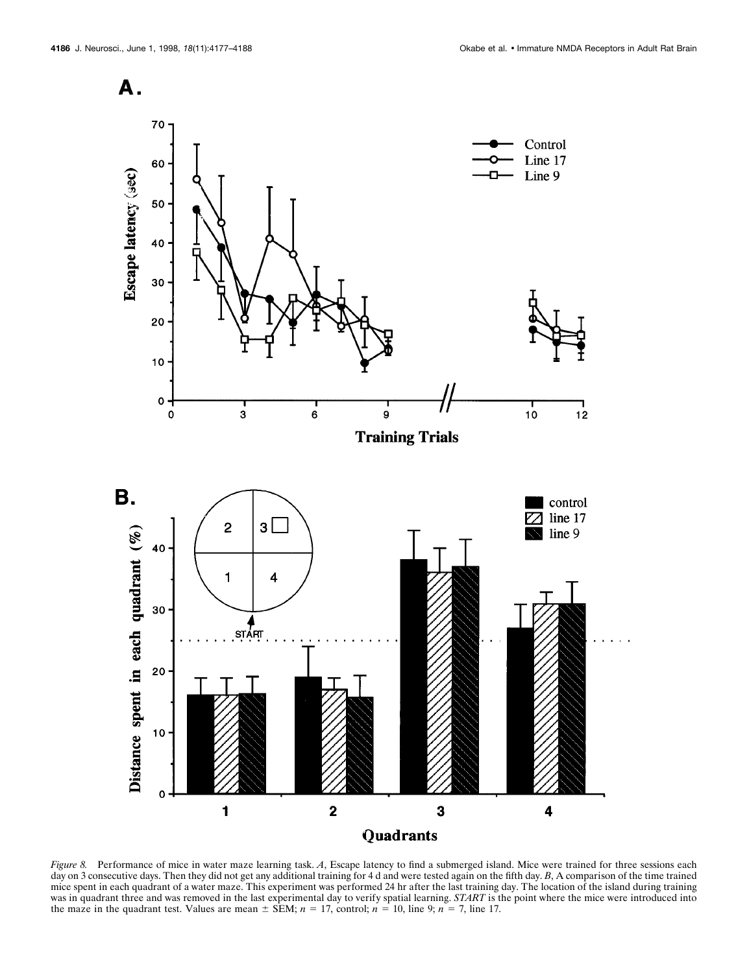A.



*Figure 8.* Performance of mice in water maze learning task. *A*, Escape latency to find a submerged island. Mice were trained for three sessions each day on 3 consecutive days. Then they did not get any additional training for 4 d and were tested again on the fifth day. *B*, A comparison of the time trained mice spent in each quadrant of a water maze. This experiment was performed 24 hr after the last training day. The location of the island during training was in quadrant three and was removed in the last experimental day to verify spatial learning. *START* is the point where the mice were introduced into the maze in the quadrant test. Values are mean  $\pm$  SEM;  $n = 17$ , control;  $n = 10$ , line 9;  $n = 7$ , line 17.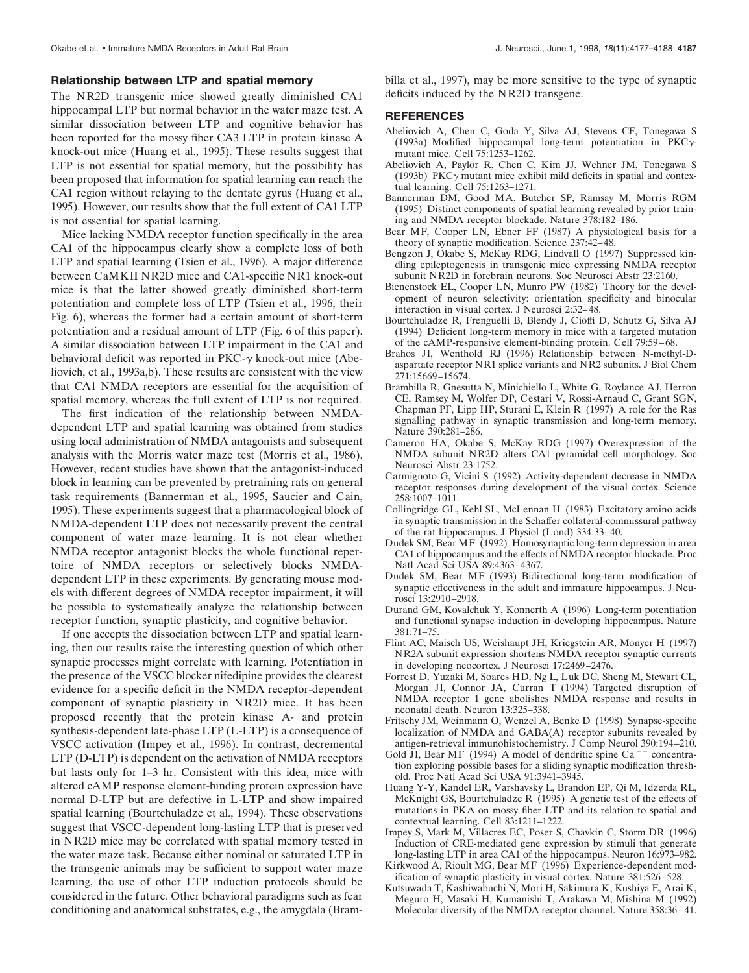#### **Relationship between LTP and spatial memory**

The NR2D transgenic mice showed greatly diminished CA1 hippocampal LTP but normal behavior in the water maze test. A similar dissociation between LTP and cognitive behavior has been reported for the mossy fiber CA3 LTP in protein kinase A knock-out mice (Huang et al., 1995). These results suggest that LTP is not essential for spatial memory, but the possibility has been proposed that information for spatial learning can reach the CA1 region without relaying to the dentate gyrus (Huang et al., 1995). However, our results show that the full extent of CA1 LTP is not essential for spatial learning.

Mice lacking NMDA receptor function specifically in the area CA1 of the hippocampus clearly show a complete loss of both LTP and spatial learning (Tsien et al., 1996). A major difference between CaMKII NR2D mice and CA1-specific NR1 knock-out mice is that the latter showed greatly diminished short-term potentiation and complete loss of LTP (Tsien et al., 1996, their Fig. 6), whereas the former had a certain amount of short-term potentiation and a residual amount of LTP (Fig. 6 of this paper). A similar dissociation between LTP impairment in the CA1 and behavioral deficit was reported in  $PKC-\gamma$  knock-out mice (Abeliovich, et al., 1993a,b). These results are consistent with the view that CA1 NMDA receptors are essential for the acquisition of spatial memory, whereas the full extent of LTP is not required.

The first indication of the relationship between NMDAdependent LTP and spatial learning was obtained from studies using local administration of NMDA antagonists and subsequent analysis with the Morris water maze test (Morris et al., 1986). However, recent studies have shown that the antagonist-induced block in learning can be prevented by pretraining rats on general task requirements (Bannerman et al., 1995, Saucier and Cain, 1995). These experiments suggest that a pharmacological block of NMDA-dependent LTP does not necessarily prevent the central component of water maze learning. It is not clear whether NMDA receptor antagonist blocks the whole functional repertoire of NMDA receptors or selectively blocks NMDAdependent LTP in these experiments. By generating mouse models with different degrees of NMDA receptor impairment, it will be possible to systematically analyze the relationship between receptor function, synaptic plasticity, and cognitive behavior.

If one accepts the dissociation between LTP and spatial learning, then our results raise the interesting question of which other synaptic processes might correlate with learning. Potentiation in the presence of the VSCC blocker nifedipine provides the clearest evidence for a specific deficit in the NMDA receptor-dependent component of synaptic plasticity in NR2D mice. It has been proposed recently that the protein kinase A- and protein synthesis-dependent late-phase LTP (L-LTP) is a consequence of VSCC activation (Impey et al., 1996). In contrast, decremental LTP (D-LTP) is dependent on the activation of NMDA receptors but lasts only for 1–3 hr. Consistent with this idea, mice with altered cAMP response element-binding protein expression have normal D-LTP but are defective in L-LTP and show impaired spatial learning (Bourtchuladze et al., 1994). These observations suggest that VSCC-dependent long-lasting LTP that is preserved in NR2D mice may be correlated with spatial memory tested in the water maze task. Because either nominal or saturated LTP in the transgenic animals may be sufficient to support water maze learning, the use of other LTP induction protocols should be considered in the future. Other behavioral paradigms such as fear conditioning and anatomical substrates, e.g., the amygdala (Brambilla et al., 1997), may be more sensitive to the type of synaptic deficits induced by the NR2D transgene.

#### **REFERENCES**

- Abeliovich A, Chen C, Goda Y, Silva AJ, Stevens CF, Tonegawa S (1993a) Modified hippocampal long-term potentiation in  $PKC\gamma$ mutant mice. Cell 75:1253–1262.
- Abeliovich A, Paylor R, Chen C, Kim JJ, Wehner JM, Tonegawa S (1993b) PKC $\gamma$  mutant mice exhibit mild deficits in spatial and contextual learning. Cell 75:1263–1271.
- Bannerman DM, Good MA, Butcher SP, Ramsay M, Morris RGM (1995) Distinct components of spatial learning revealed by prior training and NMDA receptor blockade. Nature 378:182–186.
- Bear MF, Cooper LN, Ebner FF (1987) A physiological basis for a theory of synaptic modification. Science 237:42–48.
- Bengzon J, Okabe S, McKay RDG, Lindvall O (1997) Suppressed kindling epileptogenesis in transgenic mice expressing NMDA receptor subunit NR2D in forebrain neurons. Soc Neurosci Abstr 23:2160.
- Bienenstock EL, Cooper LN, Munro PW (1982) Theory for the development of neuron selectivity: orientation specificity and binocular interaction in visual cortex. J Neurosci 2:32–48.
- Bourtchuladze R, Frenguelli B, Blendy J, Cioffi D, Schutz G, Silva AJ (1994) Deficient long-term memory in mice with a targeted mutation of the cAMP-responsive element-binding protein. Cell 79:59–68.
- Brahos JI, Wenthold RJ (1996) Relationship between N-methyl-Daspartate receptor NR1 splice variants and NR2 subunits. J Biol Chem 271:15669–15674.
- Brambilla R, Gnesutta N, Minichiello L, White G, Roylance AJ, Herron CE, Ramsey M, Wolfer DP, Cestari V, Rossi-Arnaud C, Grant SGN, Chapman PF, Lipp HP, Sturani E, Klein R (1997) A role for the Ras signalling pathway in synaptic transmission and long-term memory. Nature 390:281–286.
- Cameron HA, Okabe S, McKay RDG (1997) Overexpression of the NMDA subunit NR2D alters CA1 pyramidal cell morphology. Soc Neurosci Abstr 23:1752.
- Carmignoto G, Vicini S (1992) Activity-dependent decrease in NMDA receptor responses during development of the visual cortex. Science 258:1007–1011.
- Collingridge GL, Kehl SL, McLennan H (1983) Excitatory amino acids in synaptic transmission in the Schaffer collateral-commissural pathway of the rat hippocampus. J Physiol (Lond) 334:33–40.
- Dudek SM, Bear MF (1992) Homosynaptic long-term depression in area CA1 of hippocampus and the effects of NMDA receptor blockade. Proc Natl Acad Sci USA 89:4363–4367.
- Dudek SM, Bear MF (1993) Bidirectional long-term modification of synaptic effectiveness in the adult and immature hippocampus. J Neurosci 13:2910–2918.
- Durand GM, Kovalchuk Y, Konnerth A (1996) Long-term potentiation and functional synapse induction in developing hippocampus. Nature 381:71–75.
- Flint AC, Maisch US, Weishaupt JH, Kriegstein AR, Monyer H (1997) NR2A subunit expression shortens NMDA receptor synaptic currents in developing neocortex. J Neurosci 17:2469–2476.
- Forrest D, Yuzaki M, Soares HD, Ng L, Luk DC, Sheng M, Stewart CL, Morgan JI, Connor JA, Curran T (1994) Targeted disruption of NMDA receptor 1 gene abolishes NMDA response and results in neonatal death. Neuron 13:325–338.
- Fritschy JM, Weinmann O, Wenzel A, Benke D (1998) Synapse-specific localization of NMDA and GABA(A) receptor subunits revealed by antigen-retrieval immunohistochemistry. J Comp Neurol 390:194–210.
- Gold JI, Bear MF (1994) A model of dendritic spine Ca<sup>++</sup> concentration exploring possible bases for a sliding synaptic modification threshold. Proc Natl Acad Sci USA 91:3941–3945.
- Huang Y-Y, Kandel ER, Varshavsky L, Brandon EP, Qi M, Idzerda RL, McKnight GS, Bourtchuladze R (1995) A genetic test of the effects of mutations in PKA on mossy fiber LTP and its relation to spatial and contextual learning. Cell 83:1211–1222.
- Impey S, Mark M, Villacres EC, Poser S, Chavkin C, Storm DR (1996) Induction of CRE-mediated gene expression by stimuli that generate long-lasting LTP in area CA1 of the hippocampus. Neuron 16:973–982.
- Kirkwood A, Rioult MG, Bear MF (1996) Experience-dependent modification of synaptic plasticity in visual cortex. Nature 381:526–528.
- Kutsuwada T, Kashiwabuchi N, Mori H, Sakimura K, Kushiya E, Arai K, Meguro H, Masaki H, Kumanishi T, Arakawa M, Mishina M (1992) Molecular diversity of the NMDA receptor channel. Nature 358:36–41.